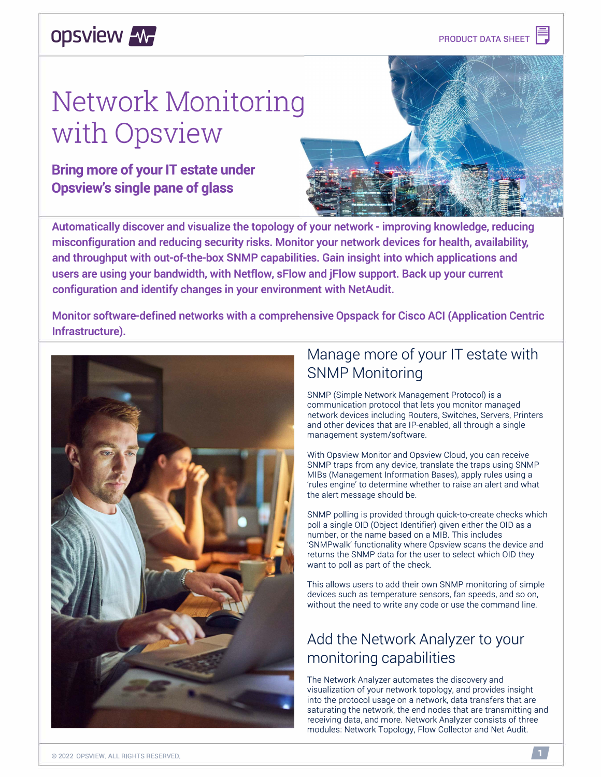## **opsview /w/**

# **Network Monitoring with Opsview**

#### **Bring more of your IT estate under Opsview's single pane of glass**



**Automatically discover and visualize the topology of your network - improving knowledge, reducing misconfiguration and reducing security risks. Monitor your network devices for health, availability, and throughput with out-of-the-box SNMP capabilities. Gain insight into which applications and users are using your bandwidth, with Netflow, sFlow and jFlow support. Back up your current configuration and identify changes in your environment with NetAudit.** 

**Monitor software-defined networks with a comprehensive Opspack for Cisco ACI (Application Centric Infrastructure).** 



### Manage more of your IT estate with SNMP Monitoring

SNMP (Simple Network Management Protocol) is a communication protocol that lets you monitor managed network devices including Routers, Switches, Servers, Printers and other devices that are IP-enabled, all through a single management system/software.

With Opsview Monitor and Opsview Cloud, you can receive SNMP traps from any device, translate the traps using SNMP MIBs (Management Information Bases), apply rules using a 'rules engine' to determine whether to raise an alert and what the alert message should be.

SNMP polling is provided through quick-to-create checks which poll a single 01D (Object Identifier) given either the 01D as a number, or the name based on a MIB. This includes 'SNMPwalk' functionality where Opsview scans the device and returns the SNMP data for the user to select which 01D they want to poll as part of the check.

This allows users to add their own SNMP monitoring of simple devices such as temperature sensors, fan speeds, and so on, without the need to write any code or use the command line.

### Add the Network Analyzer to your monitoring capabilities

The Network Analyzer automates the discovery and visualization of your network topology, and provides insight into the protocol usage on a network, data transfers that are saturating the network, the end nodes that are transmitting and receiving data, and more. Network Analyzer consists of three modules: Network Topology, Flow Collector and Net Audit.